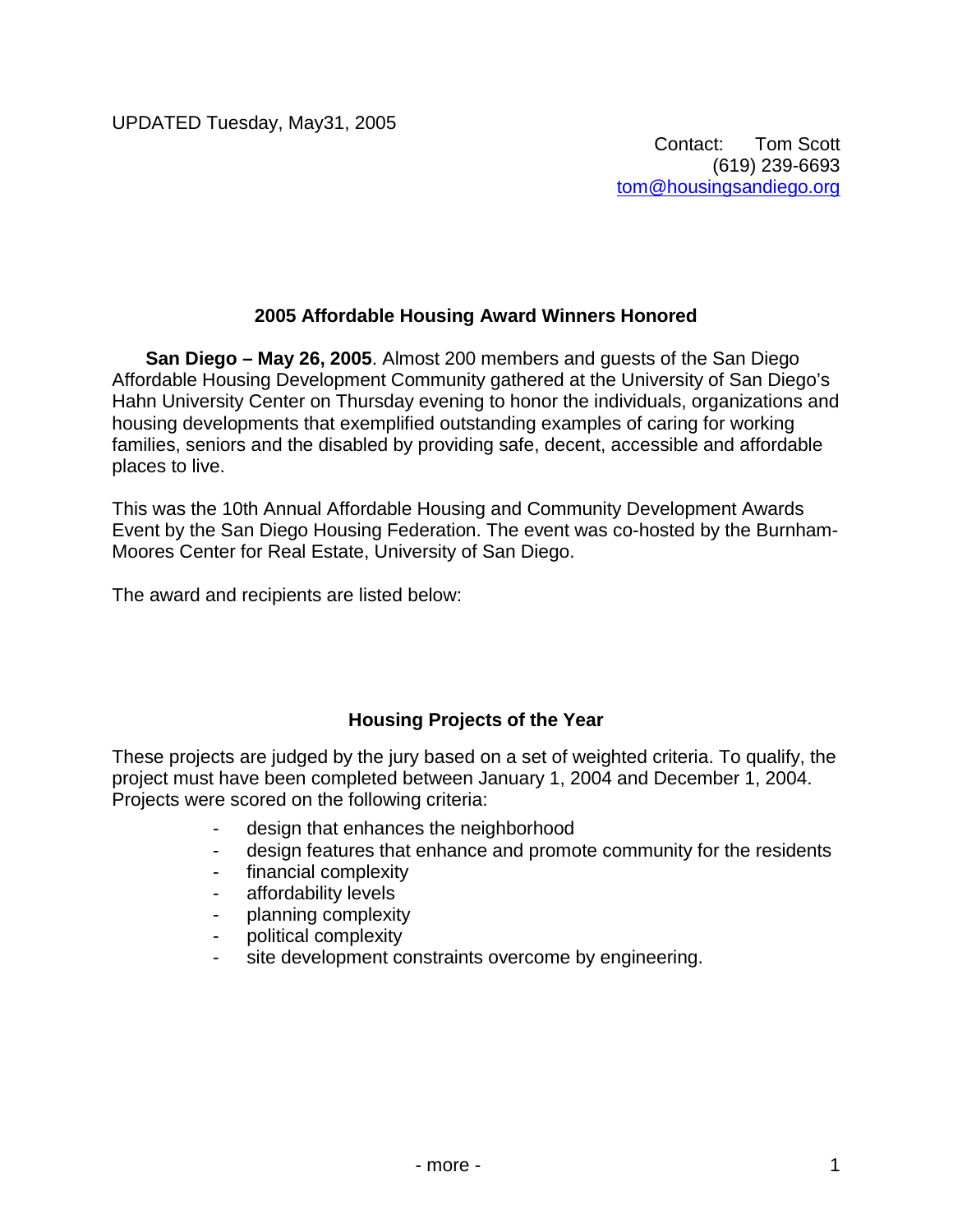#### **2005 Affordable Housing Award Winners Honored**

**San Diego – May 26, 2005**. Almost 200 members and guests of the San Diego Affordable Housing Development Community gathered at the University of San Diego's Hahn University Center on Thursday evening to honor the individuals, organizations and housing developments that exemplified outstanding examples of caring for working families, seniors and the disabled by providing safe, decent, accessible and affordable places to live.

This was the 10th Annual Affordable Housing and Community Development Awards Event by the San Diego Housing Federation. The event was co-hosted by the Burnham-Moores Center for Real Estate, University of San Diego.

The award and recipients are listed below:

## **Housing Projects of the Year**

These projects are judged by the jury based on a set of weighted criteria. To qualify, the project must have been completed between January 1, 2004 and December 1, 2004. Projects were scored on the following criteria:

- design that enhances the neighborhood
- design features that enhance and promote community for the residents
- financial complexity
- affordability levels
- planning complexity
- political complexity
- site development constraints overcome by engineering.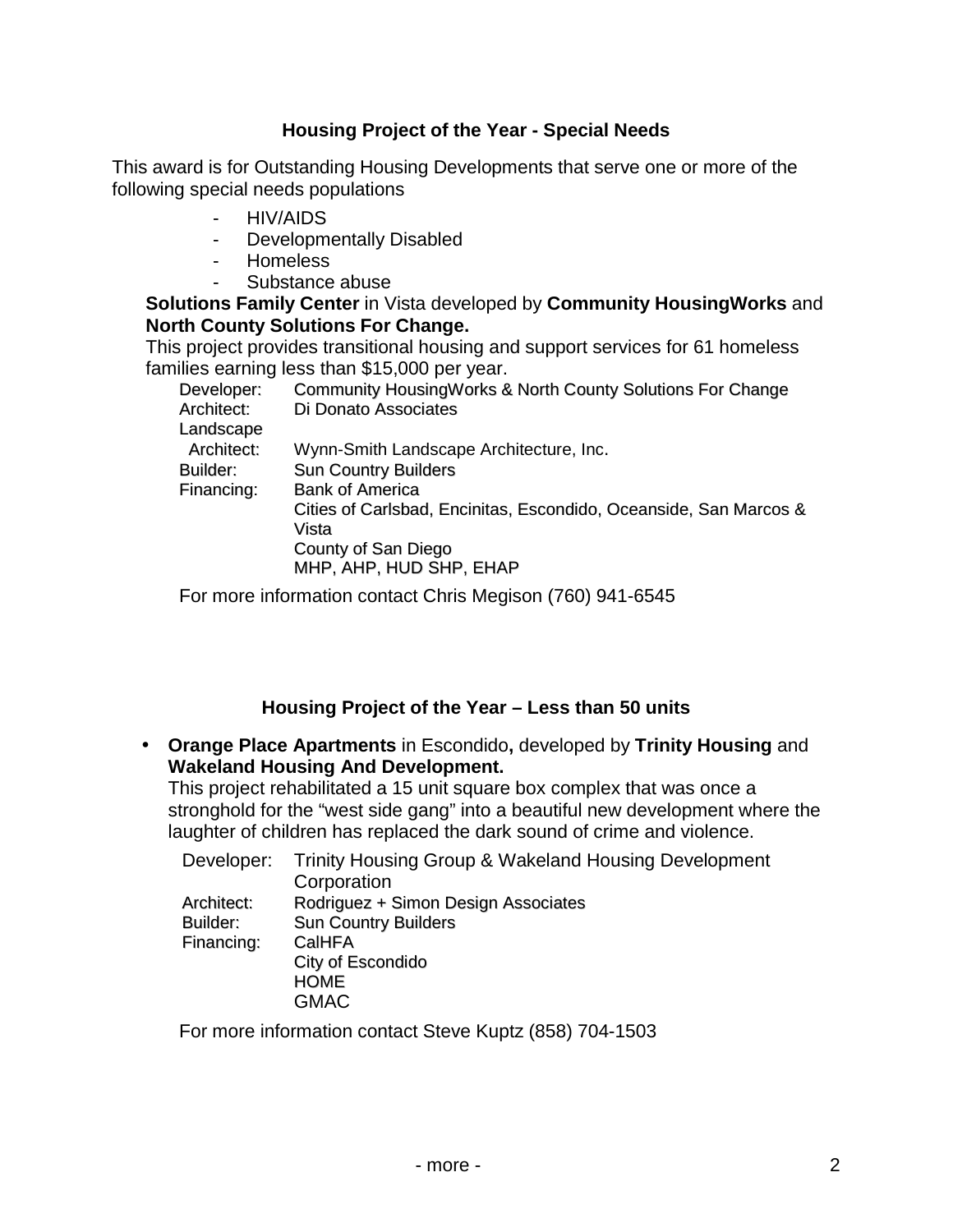#### **Housing Project of the Year - Special Needs**

This award is for Outstanding Housing Developments that serve one or more of the following special needs populations

- HIV/AIDS
- Developmentally Disabled
- Homeless
- Substance abuse

**Solutions Family Center** in Vista developed by **Community HousingWorks** and **North County Solutions For Change.** 

This project provides transitional housing and support services for 61 homeless families earning less than \$15,000 per year.

| Developer: | Community Housing Works & North County Solutions For Change       |
|------------|-------------------------------------------------------------------|
| Architect: | Di Donato Associates                                              |
| Landscape  |                                                                   |
| Architect: | Wynn-Smith Landscape Architecture, Inc.                           |
| Builder:   | <b>Sun Country Builders</b>                                       |
| Financing: | <b>Bank of America</b>                                            |
|            | Cities of Carlsbad, Encinitas, Escondido, Oceanside, San Marcos & |
|            | Vista                                                             |
|            | County of San Diego                                               |
|            | MHP, AHP, HUD SHP, EHAP                                           |
|            |                                                                   |

For more information contact Chris Megison (760) 941-6545

#### **Housing Project of the Year – Less than 50 units**

• **Orange Place Apartments** in Escondido**,** developed by **Trinity Housing** and **Wakeland Housing And Development.** 

This project rehabilitated a 15 unit square box complex that was once a stronghold for the "west side gang" into a beautiful new development where the laughter of children has replaced the dark sound of crime and violence.

| Trinity Housing Group & Wakeland Housing Development |
|------------------------------------------------------|
| Corporation                                          |
| Rodriguez + Simon Design Associates                  |
| <b>Sun Country Builders</b>                          |
| CalHFA                                               |
| City of Escondido                                    |
| <b>HOME</b>                                          |
| <b>GMAC</b>                                          |
|                                                      |

For more information contact Steve Kuptz (858) 704-1503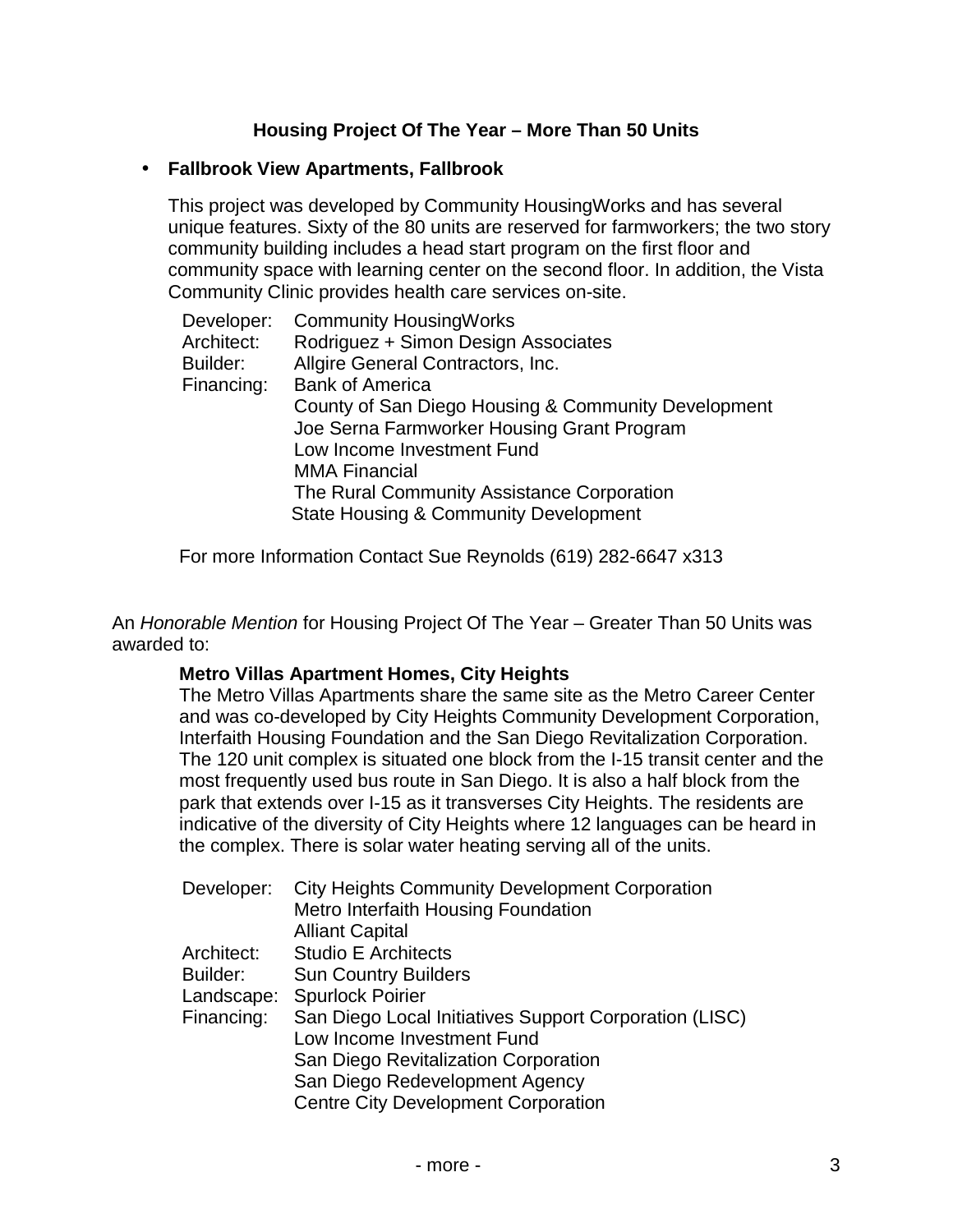## **Housing Project Of The Year – More Than 50 Units**

#### • **Fallbrook View Apartments, Fallbrook**

This project was developed by Community HousingWorks and has several unique features. Sixty of the 80 units are reserved for farmworkers; the two story community building includes a head start program on the first floor and community space with learning center on the second floor. In addition, the Vista Community Clinic provides health care services on-site.

| Developer: | <b>Community HousingWorks</b>                       |
|------------|-----------------------------------------------------|
| Architect: | Rodriguez + Simon Design Associates                 |
| Builder:   | Allgire General Contractors, Inc.                   |
| Financing: | <b>Bank of America</b>                              |
|            | County of San Diego Housing & Community Development |
|            | Joe Serna Farmworker Housing Grant Program          |
|            | Low Income Investment Fund                          |
|            | <b>MMA Financial</b>                                |
|            | The Rural Community Assistance Corporation          |
|            | <b>State Housing &amp; Community Development</b>    |

For more Information Contact Sue Reynolds (619) 282-6647 x313

An *Honorable Mention* for Housing Project Of The Year – Greater Than 50 Units was awarded to:

#### **Metro Villas Apartment Homes, City Heights**

The Metro Villas Apartments share the same site as the Metro Career Center and was co-developed by City Heights Community Development Corporation, Interfaith Housing Foundation and the San Diego Revitalization Corporation. The 120 unit complex is situated one block from the I-15 transit center and the most frequently used bus route in San Diego. It is also a half block from the park that extends over I-15 as it transverses City Heights. The residents are indicative of the diversity of City Heights where 12 languages can be heard in the complex. There is solar water heating serving all of the units.

| Developer: | <b>City Heights Community Development Corporation</b>  |
|------------|--------------------------------------------------------|
|            | Metro Interfaith Housing Foundation                    |
|            | <b>Alliant Capital</b>                                 |
| Architect: | <b>Studio E Architects</b>                             |
| Builder:   | <b>Sun Country Builders</b>                            |
| Landscape: | <b>Spurlock Poirier</b>                                |
| Financing: | San Diego Local Initiatives Support Corporation (LISC) |
|            | Low Income Investment Fund                             |
|            | San Diego Revitalization Corporation                   |
|            | San Diego Redevelopment Agency                         |
|            | <b>Centre City Development Corporation</b>             |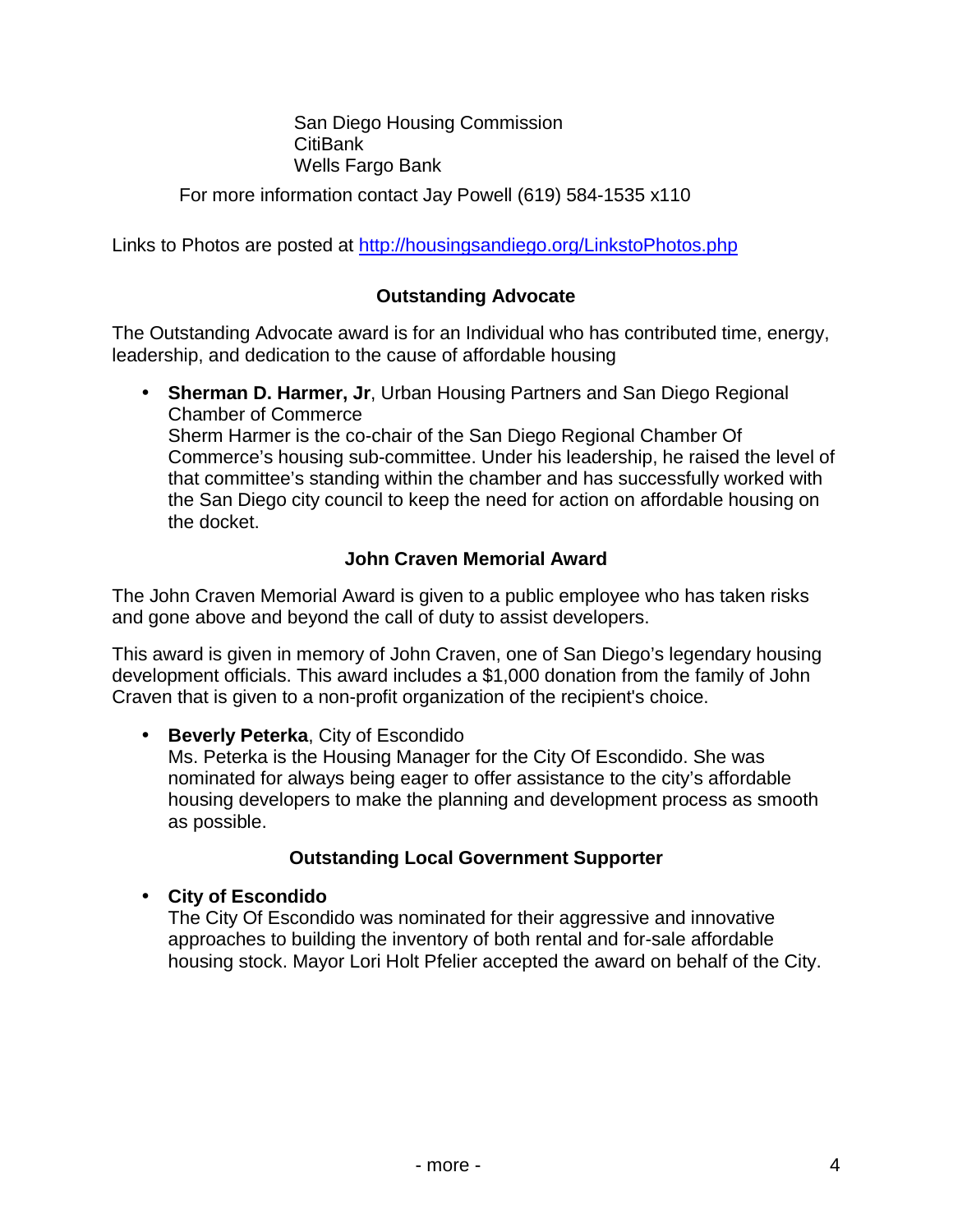San Diego Housing Commission CitiBank Wells Fargo Bank

For more information contact Jay Powell (619) 584-1535 x110

Links to Photos are posted at <http://housingsandiego.org/LinkstoPhotos.php>

#### **Outstanding Advocate**

The Outstanding Advocate award is for an Individual who has contributed time, energy, leadership, and dedication to the cause of affordable housing

• **Sherman D. Harmer, Jr**, Urban Housing Partners and San Diego Regional Chamber of Commerce Sherm Harmer is the co-chair of the San Diego Regional Chamber Of Commerce's housing sub-committee. Under his leadership, he raised the level of that committee's standing within the chamber and has successfully worked with the San Diego city council to keep the need for action on affordable housing on the docket.

# **John Craven Memorial Award**

The John Craven Memorial Award is given to a public employee who has taken risks and gone above and beyond the call of duty to assist developers.

This award is given in memory of John Craven, one of San Diego's legendary housing development officials. This award includes a \$1,000 donation from the family of John Craven that is given to a non-profit organization of the recipient's choice.

## • **Beverly Peterka**, City of Escondido

Ms. Peterka is the Housing Manager for the City Of Escondido. She was nominated for always being eager to offer assistance to the city's affordable housing developers to make the planning and development process as smooth as possible.

## **Outstanding Local Government Supporter**

• **City of Escondido**

The City Of Escondido was nominated for their aggressive and innovative approaches to building the inventory of both rental and for-sale affordable housing stock. Mayor Lori Holt Pfelier accepted the award on behalf of the City.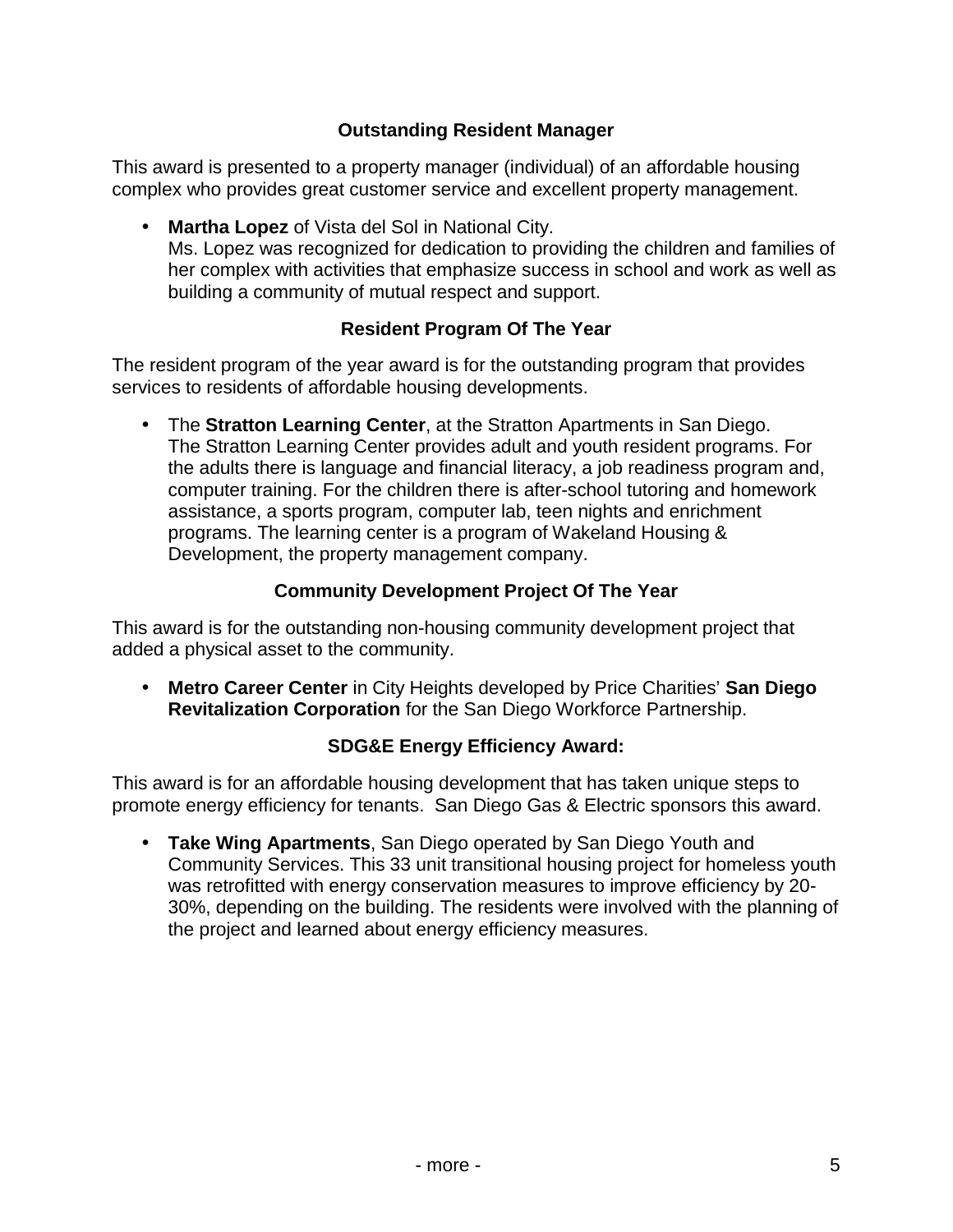## **Outstanding Resident Manager**

This award is presented to a property manager (individual) of an affordable housing complex who provides great customer service and excellent property management.

• **Martha Lopez** of Vista del Sol in National City. Ms. Lopez was recognized for dedication to providing the children and families of her complex with activities that emphasize success in school and work as well as building a community of mutual respect and support.

## **Resident Program Of The Year**

The resident program of the year award is for the outstanding program that provides services to residents of affordable housing developments.

• The **Stratton Learning Center**, at the Stratton Apartments in San Diego. The Stratton Learning Center provides adult and youth resident programs. For the adults there is language and financial literacy, a job readiness program and, computer training. For the children there is after-school tutoring and homework assistance, a sports program, computer lab, teen nights and enrichment programs. The learning center is a program of Wakeland Housing & Development, the property management company.

# **Community Development Project Of The Year**

This award is for the outstanding non-housing community development project that added a physical asset to the community.

• **Metro Career Center** in City Heights developed by Price Charities' **San Diego Revitalization Corporation** for the San Diego Workforce Partnership.

## **SDG&E Energy Efficiency Award:**

This award is for an affordable housing development that has taken unique steps to promote energy efficiency for tenants. San Diego Gas & Electric sponsors this award.

• **Take Wing Apartments**, San Diego operated by San Diego Youth and Community Services. This 33 unit transitional housing project for homeless youth was retrofitted with energy conservation measures to improve efficiency by 20- 30%, depending on the building. The residents were involved with the planning of the project and learned about energy efficiency measures.